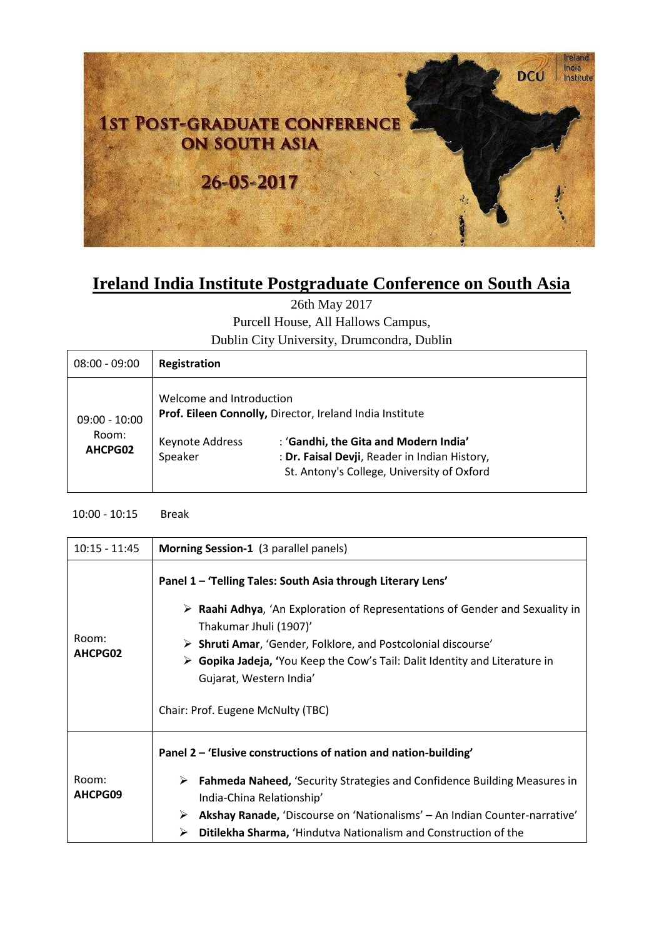

## **Ireland India Institute Postgraduate Conference on South Asia**

26th May 2017

Purcell House, All Hallows Campus,

Dublin City University, Drumcondra, Dublin

| $08:00 - 09:00$                     | Registration                                           |                                                                                                                                                                                                  |
|-------------------------------------|--------------------------------------------------------|--------------------------------------------------------------------------------------------------------------------------------------------------------------------------------------------------|
| $09:00 - 10:00$<br>Room:<br>AHCPG02 | Welcome and Introduction<br>Keynote Address<br>Speaker | Prof. Eileen Connolly, Director, Ireland India Institute<br>: 'Gandhi, the Gita and Modern India'<br>: Dr. Faisal Devji, Reader in Indian History,<br>St. Antony's College, University of Oxford |

10:00 - 10:15 Break

| $10:15 - 11:45$  | Morning Session-1 (3 parallel panels)                                                                                                                                                                                                                                                                                                                                                                                                     |  |
|------------------|-------------------------------------------------------------------------------------------------------------------------------------------------------------------------------------------------------------------------------------------------------------------------------------------------------------------------------------------------------------------------------------------------------------------------------------------|--|
| Room:<br>AHCPG02 | Panel 1 - 'Telling Tales: South Asia through Literary Lens'<br>$\triangleright$ <b>Raahi Adhya,</b> 'An Exploration of Representations of Gender and Sexuality in<br>Thakumar Jhuli (1907)'<br>$\triangleright$ Shruti Amar, 'Gender, Folklore, and Postcolonial discourse'<br>$\triangleright$ Gopika Jadeja, 'You Keep the Cow's Tail: Dalit Identity and Literature in<br>Gujarat, Western India'<br>Chair: Prof. Eugene McNulty (TBC) |  |
| Room:<br>AHCPG09 | Panel 2 – 'Elusive constructions of nation and nation-building'<br><b>Fahmeda Naheed, 'Security Strategies and Confidence Building Measures in</b><br>➤<br>India-China Relationship'<br>Akshay Ranade, 'Discourse on 'Nationalisms' - An Indian Counter-narrative'<br>➤<br>Ditilekha Sharma, 'Hindutva Nationalism and Construction of the<br>⋗                                                                                           |  |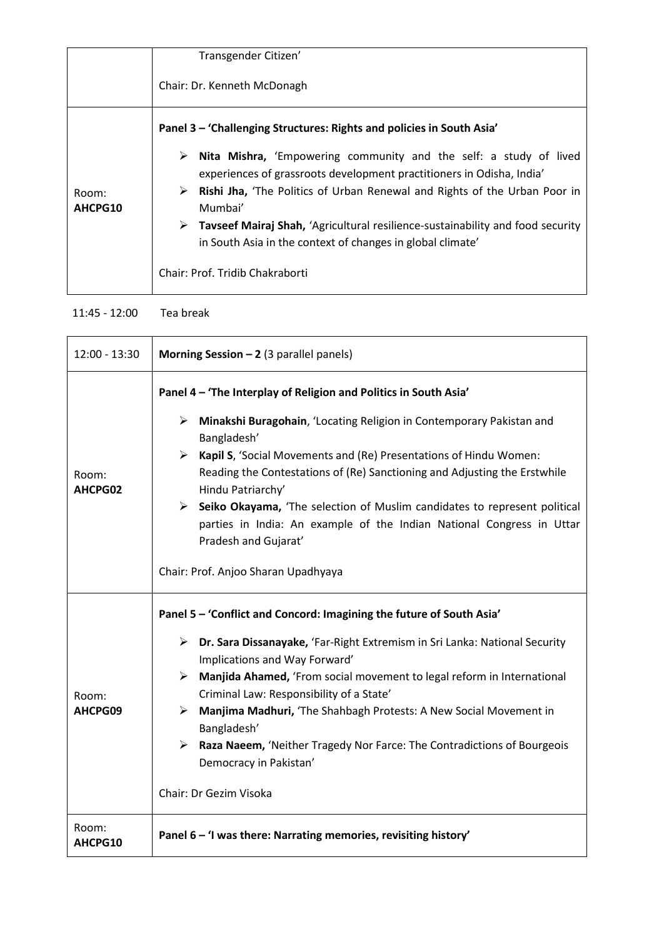|                  | Transgender Citizen'                                                                                                                                                                                                                                                                                                                                                                                                       |  |
|------------------|----------------------------------------------------------------------------------------------------------------------------------------------------------------------------------------------------------------------------------------------------------------------------------------------------------------------------------------------------------------------------------------------------------------------------|--|
|                  | Chair: Dr. Kenneth McDonagh                                                                                                                                                                                                                                                                                                                                                                                                |  |
|                  | Panel 3 - 'Challenging Structures: Rights and policies in South Asia'                                                                                                                                                                                                                                                                                                                                                      |  |
| Room:<br>AHCPG10 | <b>Nita Mishra,</b> 'Empowering community and the self: a study of lived<br>➤<br>experiences of grassroots development practitioners in Odisha, India<br><b>Rishi Jha, 'The Politics of Urban Renewal and Rights of the Urban Poor in</b><br>➤<br>Mumbai'<br>$\triangleright$ Tavseef Mairaj Shah, 'Agricultural resilience-sustainability and food security<br>in South Asia in the context of changes in global climate' |  |
|                  | Chair: Prof. Tridib Chakraborti                                                                                                                                                                                                                                                                                                                                                                                            |  |

## 11:45 - 12:00 Tea break

| $12:00 - 13:30$  | Morning Session $-2$ (3 parallel panels)                                                                                                                                                                                                                                                                                                                                                                                                                                                                                                                                                |  |
|------------------|-----------------------------------------------------------------------------------------------------------------------------------------------------------------------------------------------------------------------------------------------------------------------------------------------------------------------------------------------------------------------------------------------------------------------------------------------------------------------------------------------------------------------------------------------------------------------------------------|--|
| Room:<br>AHCPG02 | Panel 4 - 'The Interplay of Religion and Politics in South Asia'<br>$\triangleright$ Minakshi Buragohain, 'Locating Religion in Contemporary Pakistan and<br>Bangladesh'<br>> Kapil S, 'Social Movements and (Re) Presentations of Hindu Women:<br>Reading the Contestations of (Re) Sanctioning and Adjusting the Erstwhile<br>Hindu Patriarchy'<br>$\triangleright$ Seiko Okayama, 'The selection of Muslim candidates to represent political<br>parties in India: An example of the Indian National Congress in Uttar<br>Pradesh and Gujarat'<br>Chair: Prof. Anjoo Sharan Upadhyaya |  |
| Room:<br>AHCPG09 | Panel 5 - 'Conflict and Concord: Imagining the future of South Asia'<br>> Dr. Sara Dissanayake, 'Far-Right Extremism in Sri Lanka: National Security<br>Implications and Way Forward'<br>> Manjida Ahamed, 'From social movement to legal reform in International<br>Criminal Law: Responsibility of a State'<br>$\triangleright$ Manjima Madhuri, 'The Shahbagh Protests: A New Social Movement in<br>Bangladesh'<br>> Raza Naeem, 'Neither Tragedy Nor Farce: The Contradictions of Bourgeois<br>Democracy in Pakistan'<br>Chair: Dr Gezim Visoka                                     |  |
| Room:<br>AHCPG10 | Panel 6 - 'I was there: Narrating memories, revisiting history'                                                                                                                                                                                                                                                                                                                                                                                                                                                                                                                         |  |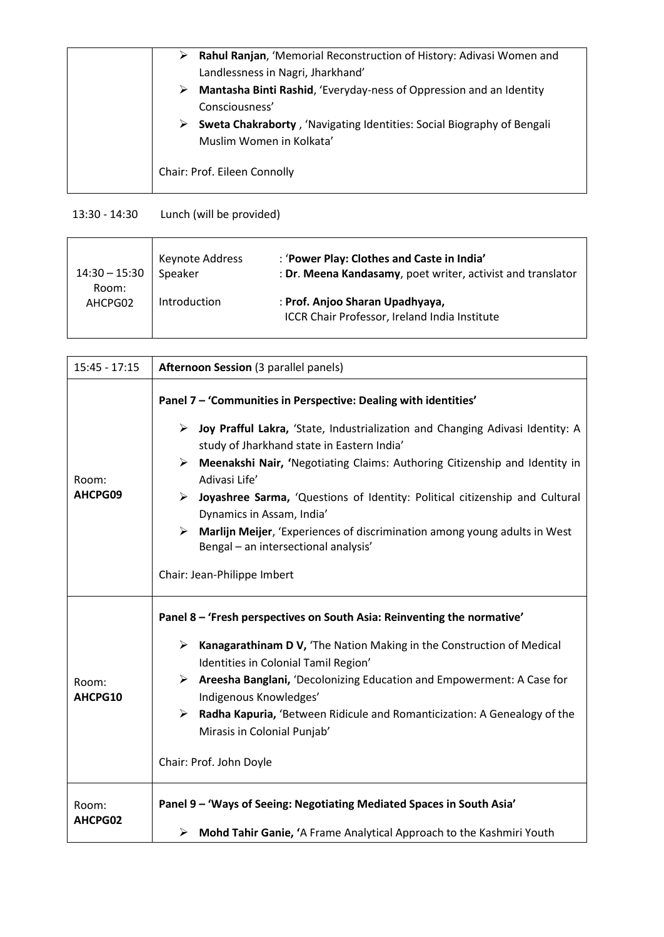| Rahul Ranjan, 'Memorial Reconstruction of History: Adivasi Women and<br>➤ |
|---------------------------------------------------------------------------|
| Landlessness in Nagri, Jharkhand'                                         |
| Mantasha Binti Rashid, 'Everyday-ness of Oppression and an Identity<br>➤  |
| Consciousness'                                                            |
| Sweta Chakraborty, 'Navigating Identities: Social Biography of Bengali    |
| Muslim Women in Kolkata'                                                  |
|                                                                           |
| Chair: Prof. Eileen Connolly                                              |
|                                                                           |

## 13:30 - 14:30 Lunch (will be provided)

| $14:30 - 15:30$ | Keynote Address | : 'Power Play: Clothes and Caste in India'                                       |
|-----------------|-----------------|----------------------------------------------------------------------------------|
| Room:           | Speaker         | : Dr. Meena Kandasamy, poet writer, activist and translator                      |
| AHCPG02         | Introduction    | : Prof. Anjoo Sharan Upadhyaya,<br>ICCR Chair Professor, Ireland India Institute |

| $15:45 - 17:15$  | <b>Afternoon Session (3 parallel panels)</b>                                                                                                                                                                                                                                                                                                                                                                                                                                                                                                                                               |  |
|------------------|--------------------------------------------------------------------------------------------------------------------------------------------------------------------------------------------------------------------------------------------------------------------------------------------------------------------------------------------------------------------------------------------------------------------------------------------------------------------------------------------------------------------------------------------------------------------------------------------|--|
| Room:<br>AHCPG09 | Panel 7 - 'Communities in Perspective: Dealing with identities'<br>> Joy Prafful Lakra, 'State, Industrialization and Changing Adivasi Identity: A<br>study of Jharkhand state in Eastern India'<br>Meenakshi Nair, 'Negotiating Claims: Authoring Citizenship and Identity in<br>➤<br>Adivasi Life'<br>$\triangleright$ Joyashree Sarma, 'Questions of Identity: Political citizenship and Cultural<br>Dynamics in Assam, India'<br>Marlijn Meijer, 'Experiences of discrimination among young adults in West<br>➤<br>Bengal - an intersectional analysis'<br>Chair: Jean-Philippe Imbert |  |
| Room:<br>AHCPG10 | Panel 8 - 'Fresh perspectives on South Asia: Reinventing the normative'<br>$\triangleright$ Kanagarathinam D V, 'The Nation Making in the Construction of Medical<br>Identities in Colonial Tamil Region'<br>> Areesha Banglani, 'Decolonizing Education and Empowerment: A Case for<br>Indigenous Knowledges'<br>$\blacktriangleright$<br>Radha Kapuria, 'Between Ridicule and Romanticization: A Genealogy of the<br>Mirasis in Colonial Punjab'<br>Chair: Prof. John Doyle                                                                                                              |  |
| Room:<br>AHCPG02 | Panel 9 - 'Ways of Seeing: Negotiating Mediated Spaces in South Asia'<br>> Mohd Tahir Ganie, 'A Frame Analytical Approach to the Kashmiri Youth                                                                                                                                                                                                                                                                                                                                                                                                                                            |  |